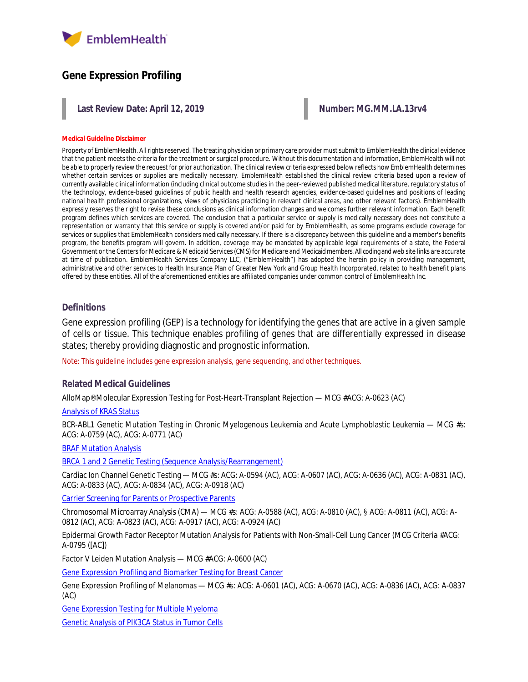

# **Gene Expression Profiling**

Last Review Date: April 12, 2019 **Number: MG.MM.LA.13rv4** Number: MG.MM.LA.13rv4

#### **Medical Guideline Disclaimer**

Property of EmblemHealth. All rights reserved. The treating physician or primary care provider must submit to EmblemHealth the clinical evidence that the patient meets the criteria for the treatment or surgical procedure. Without this documentation and information, EmblemHealth will not be able to properly review the request for prior authorization. The clinical review criteria expressed below reflects how EmblemHealth determines whether certain services or supplies are medically necessary. EmblemHealth established the clinical review criteria based upon a review of currently available clinical information (including clinical outcome studies in the peer-reviewed published medical literature, regulatory status of the technology, evidence-based guidelines of public health and health research agencies, evidence-based guidelines and positions of leading national health professional organizations, views of physicians practicing in relevant clinical areas, and other relevant factors). EmblemHealth expressly reserves the right to revise these conclusions as clinical information changes and welcomes further relevant information. Each benefit program defines which services are covered. The conclusion that a particular service or supply is medically necessary does not constitute a representation or warranty that this service or supply is covered and/or paid for by EmblemHealth, as some programs exclude coverage for services or supplies that EmblemHealth considers medically necessary. If there is a discrepancy between this guideline and a member's benefits program, the benefits program will govern. In addition, coverage may be mandated by applicable legal requirements of a state, the Federal Government or the Centers for Medicare & Medicaid Services (CMS) for Medicare and Medicaid members. All coding and web site links are accurate at time of publication. EmblemHealth Services Company LLC, ("EmblemHealth") has adopted the herein policy in providing management, administrative and other services to Health Insurance Plan of Greater New York and Group Health Incorporated, related to health benefit plans offered by these entities. All of the aforementioned entities are affiliated companies under common control of EmblemHealth Inc.

### **Definitions**

Gene expression profiling (GEP) is a technology for identifying the genes that are active in a given sample of cells or tissue. This technique enables profiling of genes that are differentially expressed in disease states; thereby providing diagnostic and prognostic information.

Note: This guideline includes gene expression analysis, gene sequencing, and other techniques.

#### **Related Medical Guidelines**

AlloMap® Molecular Expression Testing for Post-Heart-Transplant Rejection — MCG #ACG: A-0623 (AC)

#### [Analysis of KRAS Status](https://www.emblemhealth.com/content/dam/emblemhealth/pdfs/provider/medical_policies/a/MG_Analysis_of_KRAS_Status.pdf)

BCR-ABL1 Genetic Mutation Testing in Chronic Myelogenous Leukemia and Acute Lymphoblastic Leukemia — MCG #s: ACG: A-0759 (AC), ACG: A-0771 (AC)

#### [BRAF Mutation Analysis](https://www.emblemhealth.com/content/dam/emblemhealth/pdfs/provider/medical_policies/b/MG_BRAF_Mutation_Analysis.pdf)

[BRCA 1 and 2 Genetic Testing \(Sequence Analysis/Rearrangement\)](https://www.emblemhealth.com/content/dam/emblemhealth/pdfs/provider/medical_policies/b/MG_BRCA_Testing.pdf)

Cardiac Ion Channel Genetic Testing — MCG #s: ACG: A-0594 (AC), ACG: A-0607 (AC), ACG: A-0636 (AC), ACG: A-0831 (AC), ACG: A-0833 (AC), ACG: A-0834 (AC), ACG: A-0918 (AC)

Carrier Screening [for Parents or Prospective Parents](https://www.emblemhealth.com/content/dam/emblemhealth/pdfs/provider/medical_policies/c/MG_Carrier_Screening_for_Parents.pdf)

Chromosomal Microarray Analysis (CMA) — MCG #s: ACG: A-0588 (AC), ACG: A-0810 (AC), § ACG: A-0811 (AC), ACG: A-0812 (AC), ACG: A-0823 (AC), ACG: A-0917 (AC), ACG: A-0924 (AC)

Epidermal Growth Factor Receptor Mutation Analysis for Patients with Non-Small-Cell Lung Cancer (MCG Criteria #ACG: A-0795 ([AC])

Factor V Leiden Mutation Analysis — MCG #ACG: A-0600 (AC)

[Gene Expression Profiling and Biomarker Testing for Breast Cancer](https://www.emblemhealth.com/content/dam/emblemhealth/pdfs/provider/medical_policies/g/MG_Gene_Expression_Profiling_for_Breast_Cancer_Consolidated.pdf)

Gene Expression Profiling of Melanomas — MCG #s: ACG: A-0601 (AC), ACG: A-0670 (AC), ACG: A-0836 (AC), ACG: A-0837 (AC)

[Gene Expression Testing for Multiple Myeloma](https://www.emblemhealth.com/content/dam/emblemhealth/pdfs/provider/medical_policies/g/MG_Gene_Expression_Profile_Testing_for_Multiple_Myeloma.pdf)

[Genetic Analysis of PIK3CA Status in Tumor Cells](https://www.emblemhealth.com/content/dam/emblemhealth/pdfs/provider/medical_policies/g/MG_Genetic_Analysis_of_PIK3CA_Status_Tumor_Cells.pdf)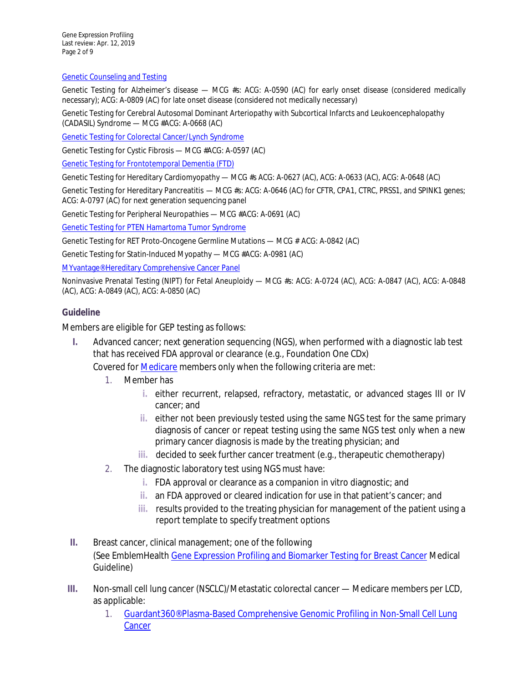Gene Expression Profiling Last review: Apr. 12, 2019 Page 2 of 9

#### [Genetic Counseling and Testing](https://www.emblemhealth.com/content/dam/emblemhealth/pdfs/provider/medical_policies/g/MG_Genetic_Counseling_Testing.pdf)

Genetic Testing for Alzheimer's disease — MCG #s: ACG: A-0590 (AC) for early onset disease (considered medically necessary); ACG: A-0809 (AC) for late onset disease (considered not medically necessary)

Genetic Testing for Cerebral Autosomal Dominant Arteriopathy with Subcortical Infarcts and Leukoencephalopathy (CADASIL) Syndrome — MCG #ACG: A-0668 (AC)

[Genetic Testing for Colorectal Cancer/Lynch Syndrome](https://www.emblemhealth.com/content/dam/emblemhealth/pdfs/provider/medical_policies/g/MG_Genetic_Testing_Colorectal_Cancer.pdf)

Genetic Testing for Cystic Fibrosis — MCG #ACG: A-0597 (AC)

[Genetic Testing for Frontotemporal Dementia \(FTD\)](https://www.emblemhealth.com/content/dam/emblemhealth/pdfs/provider/medical_policies/g/MG_Genetic_Testing_for_Frontotemporal_Dementia_FTD.pdf)

Genetic Testing for Hereditary Cardiomyopathy — MCG #s ACG: A-0627 (AC), ACG: A-0633 (AC), ACG: A-0648 (AC)

Genetic Testing for Hereditary Pancreatitis — MCG #s: ACG: A-0646 (AC) for CFTR, CPA1, CTRC, PRSS1, and SPINK1 genes; ACG: A-0797 (AC) for next generation sequencing panel

Genetic Testing for Peripheral Neuropathies — MCG #ACG: A-0691 (AC)

[Genetic Testing for PTEN Hamartoma Tumor Syndrome](https://www.emblemhealth.com/content/dam/emblemhealth/pdfs/provider/medical_policies/g/MG_Genetic_Testing_for_PTEN_Hamartoma_Tumor_Syndrome.pdf)

Genetic Testing for RET Proto-Oncogene Germline Mutations — MCG # ACG: A-0842 (AC)

Genetic Testing for Statin-Induced Myopathy — MCG #ACG: A-0981 (AC)

[MYvantage® Hereditary Comprehensive Cancer Panel](https://www.emblemhealth.com/content/dam/emblemhealth/pdfs/provider/medical_policies/m/MG_MYvantage_Hereditary_Comprehensive_Cancer_Panel.pdf)

Noninvasive Prenatal Testing (NIPT) for Fetal Aneuploidy — MCG #s: ACG: A-0724 (AC), ACG: A-0847 (AC), ACG: A-0848 (AC), ACG: A-0849 (AC), ACG: A-0850 (AC)

## **Guideline**

Members are eligible for GEP testing as follows:

**I.** Advanced cancer; next generation sequencing (NGS), when performed with a diagnostic lab test that has received FDA approval or clearance (e.g., Foundation One CDx)

Covered for [Medicare](https://www.cms.gov/medicare-coverage-database/details/nca-decision-memo.aspx?NCAId=290&bc=AAAAAAAAACAA&) members only when the following criteria are met:

- 1. Member has
	- **i.** either recurrent, relapsed, refractory, metastatic, or advanced stages III or IV cancer; and
	- **ii.** either not been previously tested using the same NGS test for the same primary diagnosis of cancer or repeat testing using the same NGS test only when a new primary cancer diagnosis is made by the treating physician; and
	- **iii.** decided to seek further cancer treatment (e.g., therapeutic chemotherapy)
- 2. The diagnostic laboratory test using NGS must have:
	- **i.** FDA approval or clearance as a companion in vitro diagnostic; and
	- **ii.** an FDA approved or cleared indication for use in that patient's cancer; and
	- **iii.** results provided to the treating physician for management of the patient using a report template to specify treatment options
- **II.** Breast cancer, clinical management; one of the following (See EmblemHealt[h Gene Expression Profiling and Biomarker Testing for Breast Cancer](http://www.emblemhealth.com/%7E/media/Files/PDF/_med_guidelines/MG_Gene_Expression_Profiling_for_Breast_Cancer_Consolidated.pdf) Medical Guideline)
- **III.** Non-small cell lung cancer (NSCLC)/Metastatic colorectal cancer Medicare members per LCD, as applicable:
	- 1. [Guardant360® Plasma-Based Comprehensive Genomic Profiling in Non-Small Cell Lung](https://www.cms.gov/medicare-coverage-database/details/lcd-details.aspx?LCDId=37699&ver=5&Cntrctr=240&name=+(15201%2c+MAC+-+Part+A)&DocType=Future&CntrctrSelected=240*1&s=50&LCntrctr=All&bc=AgIAAAABAAAA&)  **[Cancer](https://www.cms.gov/medicare-coverage-database/details/lcd-details.aspx?LCDId=37699&ver=5&Cntrctr=240&name=+(15201%2c+MAC+-+Part+A)&DocType=Future&CntrctrSelected=240*1&s=50&LCntrctr=All&bc=AgIAAAABAAAA&)**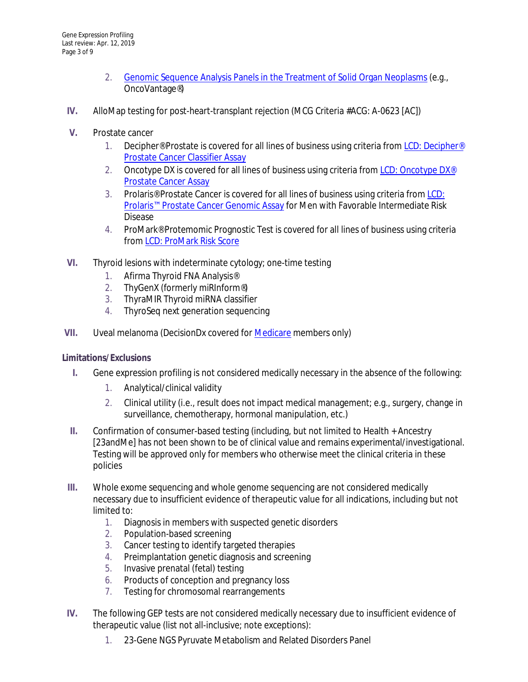- 2. [Genomic Sequence Analysis Panels in the Treatment of Solid Organ Neoplasms](https://www.cms.gov/medicare-coverage-database/details/lcd-details.aspx?LCDId=37810&ContrId=297&ver=3&ContrVer=1&CntrctrSelected=297*1&Cntrctr=297&s=41&DocType=1&bc=AAgCAAQAAAAA&) (e.g., OncoVantage®)
- **IV.** AlloMap testing for post-heart-transplant rejection (MCG Criteria #ACG: A-0623 [AC])
- **V.** Prostate cancer
	- 1. Decipher<sup>®</sup> Prostate is covered for all lines of business using criteria from LCD: Decipher<sup>®</sup> [Prostate Cancer Classifier Assay](https://www.cms.gov/medicare-coverage-database/details/lcd-details.aspx?LCDId=35868)
	- 2. Oncotype DX is covered for all lines of business using criteria from LCD: Oncotype DX<sup>®</sup> [Prostate Cancer Assay](https://www.cms.gov/medicare-coverage-database/details/lcd-details.aspx?LCDId=37262)
	- 3. Prolaris® Prostate Cancer is covered for all lines of business using criteria fro[m LCD:](https://www.cms.gov/medicare-coverage-database/details/lcd-details.aspx?LCDId=37043)  [Prolaris™ Prostate Cancer Genomic Assay](https://www.cms.gov/medicare-coverage-database/details/lcd-details.aspx?LCDId=37043) for Men with Favorable Intermediate Risk Disease
	- 4. ProMark® Protemomic Prognostic Test is covered for all lines of business using criteria from [LCD: ProMark Risk Score](https://www.cms.gov/medicare-coverage-database/details/lcd-details.aspx?LCDId=36665)
- **VI.** Thyroid lesions with indeterminate cytology; one-time testing
	- 1. Afirma Thyroid FNA Analysis®
	- 2. ThyGenX (formerly miRInform®)
	- 3. ThyraMIR Thyroid miRNA classifier
	- 4. ThyroSeq next generation sequencing
- **VII.** Uveal melanoma (DecisionDx covered for [Medicare](https://www.cms.gov/medicare-coverage-database/details/lcd-details.aspx?LCDId=37033&ver=19&SearchType=Advanced&CoverageSelection=Local&ArticleType=SAD%7cEd&PolicyType=Both&s=All&KeyWord=DecisionDx&KeyWordLookUp=Title&KeyWordSearchType=Exact&kq=true&bc=IAAAACAAAAAA&) members only)

# **Limitations/Exclusions**

- **I.** Gene expression profiling is not considered medically necessary in the absence of the following:
	- 1. Analytical/clinical validity
	- 2. Clinical utility (i.e., result does not impact medical management; e.g., surgery, change in surveillance, chemotherapy, hormonal manipulation, etc.)
- **II.** Confirmation of consumer-based testing (including, but not limited to Health + Ancestry [23andMe] has not been shown to be of clinical value and remains experimental/investigational. Testing will be approved only for members who otherwise meet the clinical criteria in these policies
- **III.** Whole exome sequencing and whole genome sequencing are not considered medically necessary due to insufficient evidence of therapeutic value for all indications, including but not limited to:
	- 1. Diagnosis in members with suspected genetic disorders
	- 2. Population-based screening
	- 3. Cancer testing to identify targeted therapies
	- 4. Preimplantation genetic diagnosis and screening
	- 5. Invasive prenatal (fetal) testing
	- 6. Products of conception and pregnancy loss
	- 7. Testing for chromosomal rearrangements
- **IV.** The following GEP tests are not considered medically necessary due to insufficient evidence of therapeutic value (list not all-inclusive; note exceptions):
	- 1. 23-Gene NGS Pyruvate Metabolism and Related Disorders Panel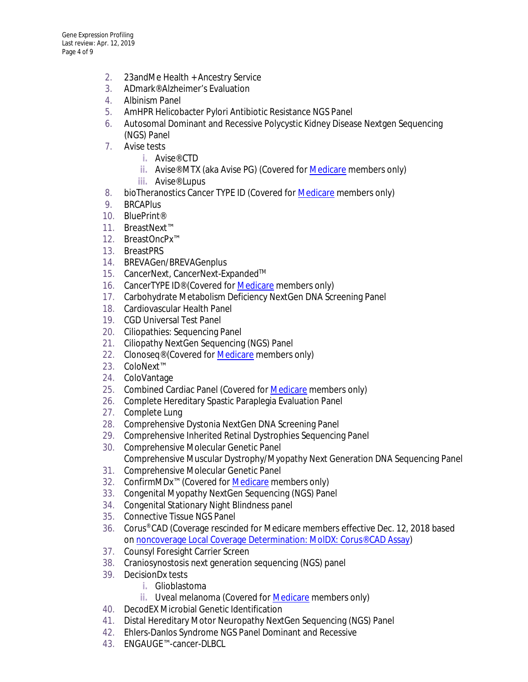- 2. 23andMe Health + Ancestry Service
- 3. ADmark® Alzheimer's Evaluation
- 4. Albinism Panel
- 5. AmHPR Helicobacter Pylori Antibiotic Resistance NGS Panel
- 6. Autosomal Dominant and Recessive Polycystic Kidney Disease Nextgen Sequencing (NGS) Panel
- 7. Avise tests
	- **i.** Avise® CTD
	- **ii.** Avise® MTX (aka Avise PG) (Covered for [Medicare](https://www.cms.gov/medicare-coverage-database/details/article-details.aspx?articleId=54376&ver=15&SearchType=Advanced&CoverageSelection=Both&NCSelection=NCA%7cCAL%7cNCD%7cMEDCAC%7cTA%7cMCD&ArticleType=SAD%7cEd&PolicyType=Both&s=All&KeyWord=avise&KeyWordLookUp=Title&KeyWordSearchType=Exact&kq=true&bc=IAAAACAAAAAA&) members only)
	- **iii.** Avise® Lupus
- 8. bioTheranostics Cancer TYPE ID (Covered for **Medicare** members only)
- 9. BRCAPlus
- 10. BluePrint®
- 11. BreastNext™
- 12. BreastOncPx™
- 13. BreastPRS
- 14. BREVAGen/BREVAGenplus
- 15. CancerNext, CancerNext-Expanded™
- 16. CancerTYPE ID® (Covered for [Medicare](https://palmettogba.com/palmetto/MolDX.nsf/DocsCat/MolDx%20Website%7EMolDx%7EBrowse%20By%20Topic%7ECovered%20Tests%7E8TQRBP1713?open&navmenu=%7C%7C) members only)
- 17. Carbohydrate Metabolism Deficiency NextGen DNA Screening Panel
- 18. Cardiovascular Health Panel
- 19. CGD Universal Test Panel
- 20. Ciliopathies: Sequencing Panel
- 21. Ciliopathy NextGen Sequencing (NGS) Panel
- 22. Clonoseq<sup>®</sup> (Covered for **Medicare** members only)
- 23. ColoNext™
- 24. ColoVantage
- 25. Combined Cardiac Panel (Covered fo[r Medicare](http://palmettogba.com/palmetto/MolDX.nsf/DocsCat/MolDx%20Website%7EMolDx%7EBrowse%20By%20Topic%7ECovered%20Tests%7E8TQRBP1713?open&navmenu=||) members only)
- 26. Complete Hereditary Spastic Paraplegia Evaluation Panel
- 27. Complete Lung
- 28. Comprehensive Dystonia NextGen DNA Screening Panel
- 29. Comprehensive Inherited Retinal Dystrophies Sequencing Panel
- 30. Comprehensive Molecular Genetic Panel Comprehensive Muscular Dystrophy/Myopathy Next Generation DNA Sequencing Panel
- 31. Comprehensive Molecular Genetic Panel
- 32. ConfirmMDx<sup>™</sup> (Covered for **Medicare** members only)
- 33. Congenital Myopathy NextGen Sequencing (NGS) Panel
- 34. Congenital Stationary Night Blindness panel
- 35. Connective Tissue NGS Panel
- 36. Corus® CAD (Coverage rescinded for Medicare members effective Dec. 12, 2018 based on [noncoverage Local Coverage Determination: MolDX: Corus® CAD Assay\)](https://www.cms.gov/medicare-coverage-database/details/lcd-details.aspx?LCDId=37612&ver=4&DocType=Future&bc=AAIAAAAAAAAA&)
- 37. Counsyl Foresight Carrier Screen
- 38. Craniosynostosis next generation sequencing (NGS) panel
- 39. DecisionDx tests
	- **i.** Glioblastoma
	- **ii.** Uveal melanoma (Covered fo[r Medicare](https://www.cms.gov/medicare-coverage-database/details/lcd-details.aspx?LCDId=37033&ver=19&SearchType=Advanced&CoverageSelection=Local&ArticleType=SAD%7cEd&PolicyType=Both&s=All&KeyWord=DecisionDx&KeyWordLookUp=Title&KeyWordSearchType=Exact&kq=true&bc=IAAAACAAAAAA&) members only)
- 40. DecodEX Microbial Genetic Identification
- 41. Distal Hereditary Motor Neuropathy NextGen Sequencing (NGS) Panel
- 42. Ehlers-Danlos Syndrome NGS Panel Dominant and Recessive
- 43. ENGAUGE™-cancer-DLBCL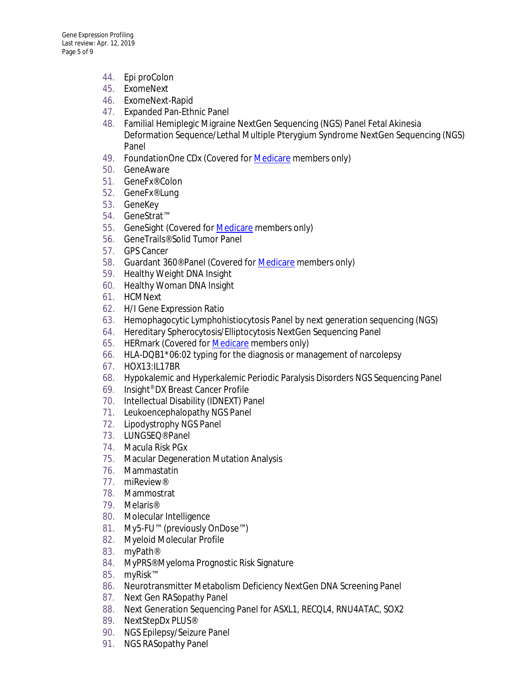- 44. Epi proColon
- 45. ExomeNext
- 46. ExomeNext-Rapid
- 47. Expanded Pan-Ethnic Panel
- 48. Familial Hemiplegic Migraine NextGen Sequencing (NGS) Panel Fetal Akinesia Deformation Sequence/Lethal Multiple Pterygium Syndrome NextGen Sequencing (NGS) Panel
- 49. FoundationOne CDx (Covered fo[r Medicare](https://www.cms.gov/medicare-coverage-database/details/nca-decision-memo.aspx?NCAId=290&bc=AAAAAAAAACAA&) members only)
- 50. GeneAware
- 51. GeneFx® Colon
- 52. GeneFx® Lung
- 53. GeneKey
- 54. GeneStrat™
- 55. GeneSight (Covered for **Medicare** members only)
- 56. GeneTrails® Solid Tumor Panel
- 57. GPS Cancer
- 58. Guardant 360® Panel (Covered fo[r Medicare](https://www.cms.gov/medicare-coverage-database/details/lcd-details.aspx?LCDId=37699&ver=3&Cntrctr=240&name=+(15201%2c+MAC+-+Part+A)&DocType=Future&CntrctrSelected=240*1&s=50&LCntrctr=All&bc=AgIAAAAAAAAA&) members only)
- 59. Healthy Weight DNA Insight
- 60. Healthy Woman DNA Insight
- 61. HCMNext
- 62. H/I Gene Expression Ratio
- 63. Hemophagocytic Lymphohistiocytosis Panel by next generation sequencing (NGS)
- 64. Hereditary Spherocytosis/Elliptocytosis NextGen Sequencing Panel
- 65. HERmark (Covered for **Medicare** members only)
- 66. HLA-DQB1\*06:02 typing for the diagnosis or management of narcolepsy
- 67. HOX13:IL17BR
- 68. Hypokalemic and Hyperkalemic Periodic Paralysis Disorders NGS Sequencing Panel
- 69. Insight® DX Breast Cancer Profile
- 70. Intellectual Disability (IDNEXT) Panel
- 71. Leukoencephalopathy NGS Panel
- 72. Lipodystrophy NGS Panel
- 73. LUNGSEQ® Panel
- 74. Macula Risk PGx
- 75. Macular Degeneration Mutation Analysis
- 76. Mammastatin
- 77. miReview®
- 78. Mammostrat
- 79. Melaris®
- 80. Molecular Intelligence
- 81. My5-FU™ (previously OnDose™)
- 82. Myeloid Molecular Profile
- 83. myPath®
- 84. MyPRS® Myeloma Prognostic Risk Signature
- 85. myRisk™
- 86. Neurotransmitter Metabolism Deficiency NextGen DNA Screening Panel
- 87. Next Gen RASopathy Panel
- 88. Next Generation Sequencing Panel for ASXL1, RECQL4, RNU4ATAC, SOX2
- 89. NextStepDx PLUS®
- 90. NGS Epilepsy/Seizure Panel
- 91. NGS RASopathy Panel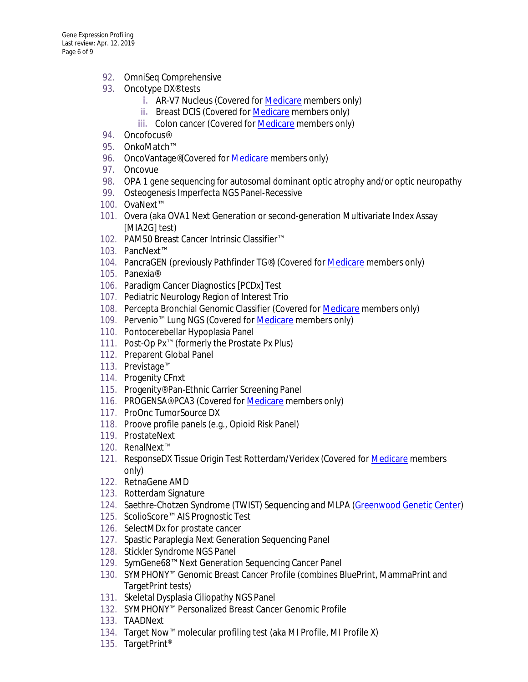- 92. OmniSeq Comprehensive
- 93. Oncotype DX<sup>®</sup> tests
	- **i.** AR-V7 Nucleus (Covered for [Medicare](https://www.cms.gov/medicare-coverage-database/details/lcd-details.aspx?LCDId=37701&ver=3&SearchType=Advanced&CoverageSelection=Local&ArticleType=SAD%7cEd&PolicyType=Both&s=All&KeyWord=oncotype&KeyWordLookUp=Title&KeyWordSearchType=Exact&kq=true&bc=IAAAACAAAAAA&) members only)
	- **ii.** Breast DCIS (Covered for [Medicare](https://www.cms.gov/medicare-coverage-database/details/lcd-details.aspx?LCDId=36941&ver=13&SearchType=Advanced&CoverageSelection=Local&ArticleType=SAD%7cEd&PolicyType=Both&s=All&KeyWord=oncotype&KeyWordLookUp=Title&KeyWordSearchType=Exact&kq=true&bc=IAAAACAAAAAA&) members only)
	- **iii.** Colon cancer (Covered for [Medicare](http://www.palmettogba.com/palmetto/MolDX.nsf/DocsCat/MolDx%20Website%7EMolDx%7EBrowse%20By%20Topic%7ECovered%20Tests%7E8UMP3B8280?open&navmenu=||) members only)
- 94. Oncofocus®
- 95. OnkoMatch™
- 96. OncoVantage®(Covered fo[r Medicare](https://www.cms.gov/medicare-coverage-database/details/lcd-details.aspx?LCDId=37810&ContrId=297&ver=3&ContrVer=1&CntrctrSelected=297*1&Cntrctr=297&s=41&DocType=1&bc=AAgCAAQAAAAA&) members only)
- 97. Oncovue
- 98. OPA 1 gene sequencing for autosomal dominant optic atrophy and/or optic neuropathy
- 99. Osteogenesis Imperfecta NGS Panel-Recessive
- 100. OvaNext™
- 101. Overa (aka OVA1 Next Generation or second-generation Multivariate Index Assay [MIA2G] test)
- 102. PAM50 Breast Cancer Intrinsic Classifier™
- 103. PancNext™
- 104. PancraGEN (previously Pathfinder TG®) (Covered for [Medicare](https://www.cms.gov/medicare-coverage-database/details/lcd-details.aspx?LCDId=34864&ver=23&SearchType=Advanced&CoverageSelection=Both&NCSelection=NCA%7cCAL%7cNCD%7cMEDCAC%7cTA%7cMCD&ArticleType=SAD%7cEd&PolicyType=Final&s=All&KeyWord=topographic&KeyWordLookUp=Doc&KeyWordSearchType=Exact&kq=true&bc=IAAAABAAIAAAAA%3d%3d&) members only)
- 105. Panexia®
- 106. Paradigm Cancer Diagnostics [PCDx] Test
- 107. Pediatric Neurology Region of Interest Trio
- 108. Percepta Bronchial Genomic Classifier (Covered fo[r Medicare](https://www.cms.gov/medicare-coverage-database/details/lcd-details.aspx?LCDId=36854&ver=10&DocType=All&bc=AgIAAAAAAAAA&) members only)
- 109. Pervenio™ Lung NGS (Covered fo[r Medicare](https://www.cms.gov/medicare-coverage-database/details/lcd-details.aspx?LCDId=36376&ver=3&DocType=All&bc=AAIAAAAAAAAA&) members only)
- 110. Pontocerebellar Hypoplasia Panel
- 111. Post-Op Px™ (formerly the Prostate Px Plus)
- 112. Preparent Global Panel
- 113. Previstage™
- 114. Progenity CFnxt
- 115. Progenity® Pan-Ethnic Carrier Screening Panel
- 116. PROGENSA® PCA3 (Covered for [Medicare](https://www.cms.gov/medicare-coverage-database/details/article-details.aspx?articleId=54492&ver=9&SearchType=Advanced&CoverageSelection=Local&ArticleType=SAD%7cEd&PolicyType=Both&s=All&KeyWord=progensa&KeyWordLookUp=Title&KeyWordSearchType=Exact&kq=true&bc=IAAAACAAAAAA&) members only)
- 117. ProOnc TumorSource DX
- 118. Proove profile panels (e.g., Opioid Risk Panel)
- 119. ProstateNext
- 120. RenalNext™
- 121. ResponseDX Tissue Origin Test Rotterdam/Veridex (Covered fo[r Medicare](https://www.cms.gov/medicare-coverage-database/details/article-details.aspx?articleId=53108&ver=18&SearchType=Advanced&CoverageSelection=Local&ArticleType=SAD%7cEd&PolicyType=Both&s=All&KeyWord=ResponseDX&KeyWordLookUp=Title&KeyWordSearchType=Exact&kq=true&bc=IAAAACAAAAAA&) members only)
- 122. RetnaGene AMD
- 123. Rotterdam Signature
- 124. Saethre-Chotzen Syndrome (TWIST) Sequencing and MLPA [\(Greenwood Genetic Center\)](http://www.ggc.org/diagnostic/tests-costs/test-finder/saethre-chotzen-syndrome-twist-sequencing-and-mlpa.html)
- 125. ScolioScore™ AIS Prognostic Test
- 126. SelectMDx for prostate cancer
- 127. Spastic Paraplegia Next Generation Sequencing Panel
- 128. Stickler Syndrome NGS Panel
- 129. SymGene68™ Next Generation Sequencing Cancer Panel
- 130. SYMPHONY™ Genomic Breast Cancer Profile (combines BluePrint, MammaPrint and TargetPrint tests)
- 131. Skeletal Dysplasia Ciliopathy NGS Panel
- 132. SYMPHONY™ Personalized Breast Cancer Genomic Profile
- 133. TAADNext
- 134. Target Now™ molecular profiling test (aka MI Profile, MI Profile X)
- 135. TargetPrint®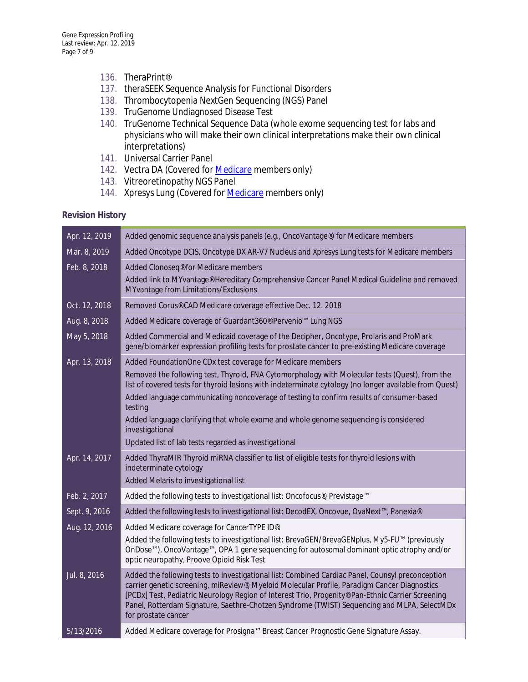- 136. TheraPrint®
- 137. theraSEEK Sequence Analysis for Functional Disorders
- 138. Thrombocytopenia NextGen Sequencing (NGS) Panel
- 139. TruGenome Undiagnosed Disease Test
- 140. TruGenome Technical Sequence Data (whole exome sequencing test for labs and physicians who will make their own clinical interpretations make their own clinical interpretations)
- 141. Universal Carrier Panel
- 142. Vectra DA (Covered for **Medicare members only)**
- 143. Vitreoretinopathy NGS Panel
- 144. Xpresys Lung (Covered for **Medicare** members only)

# **Revision History**

| Apr. 12, 2019 | Added genomic sequence analysis panels (e.g., OncoVantage®) for Medicare members                                                                                                                                                                                                                                                                                                                                            |
|---------------|-----------------------------------------------------------------------------------------------------------------------------------------------------------------------------------------------------------------------------------------------------------------------------------------------------------------------------------------------------------------------------------------------------------------------------|
| Mar. 8, 2019  | Added Oncotype DCIS, Oncotype DX AR-V7 Nucleus and Xpresys Lung tests for Medicare members                                                                                                                                                                                                                                                                                                                                  |
| Feb. 8, 2018  | Added Clonoseq® for Medicare members<br>Added link to MYvantage® Hereditary Comprehensive Cancer Panel Medical Guideline and removed<br>MYvantage from Limitations/Exclusions                                                                                                                                                                                                                                               |
| Oct. 12, 2018 | Removed Corus® CAD Medicare coverage effective Dec. 12. 2018                                                                                                                                                                                                                                                                                                                                                                |
| Aug. 8, 2018  | Added Medicare coverage of Guardant360® Pervenio™ Lung NGS                                                                                                                                                                                                                                                                                                                                                                  |
| May 5, 2018   | Added Commercial and Medicaid coverage of the Decipher, Oncotype, Prolaris and ProMark<br>gene/biomarker expression profiling tests for prostate cancer to pre-existing Medicare coverage                                                                                                                                                                                                                                   |
| Apr. 13, 2018 | Added FoundationOne CDx test coverage for Medicare members                                                                                                                                                                                                                                                                                                                                                                  |
|               | Removed the following test, Thyroid, FNA Cytomorphology with Molecular tests (Quest), from the<br>list of covered tests for thyroid lesions with indeterminate cytology (no longer available from Quest)                                                                                                                                                                                                                    |
|               | Added language communicating noncoverage of testing to confirm results of consumer-based<br>testing                                                                                                                                                                                                                                                                                                                         |
|               | Added language clarifying that whole exome and whole genome sequencing is considered<br>investigational<br>Updated list of lab tests regarded as investigational                                                                                                                                                                                                                                                            |
|               |                                                                                                                                                                                                                                                                                                                                                                                                                             |
| Apr. 14, 2017 | Added ThyraMIR Thyroid miRNA classifier to list of eligible tests for thyroid lesions with<br>indeterminate cytology                                                                                                                                                                                                                                                                                                        |
|               | Added Melaris to investigational list                                                                                                                                                                                                                                                                                                                                                                                       |
| Feb. 2, 2017  | Added the following tests to investigational list: Oncofocus®, Previstage™                                                                                                                                                                                                                                                                                                                                                  |
| Sept. 9, 2016 | Added the following tests to investigational list: DecodEX, Oncovue, OvaNext™, Panexia®                                                                                                                                                                                                                                                                                                                                     |
| Aug. 12, 2016 | Added Medicare coverage for CancerTYPE ID®.                                                                                                                                                                                                                                                                                                                                                                                 |
|               | Added the following tests to investigational list: BrevaGEN/BrevaGENplus, My5-FU™ (previously<br>OnDose™), OncoVantage™, OPA 1 gene sequencing for autosomal dominant optic atrophy and/or<br>optic neuropathy, Proove Opioid Risk Test                                                                                                                                                                                     |
| Jul. 8, 2016  | Added the following tests to investigational list: Combined Cardiac Panel, Counsyl preconception<br>carrier genetic screening, miReview®, Myeloid Molecular Profile, Paradigm Cancer Diagnostics<br>[PCDx] Test, Pediatric Neurology Region of Interest Trio, Progenity® Pan-Ethnic Carrier Screening<br>Panel, Rotterdam Signature, Saethre-Chotzen Syndrome (TWIST) Sequencing and MLPA, SelectMDx<br>for prostate cancer |
| 5/13/2016     | Added Medicare coverage for Prosigna™ Breast Cancer Prognostic Gene Signature Assay.                                                                                                                                                                                                                                                                                                                                        |
|               |                                                                                                                                                                                                                                                                                                                                                                                                                             |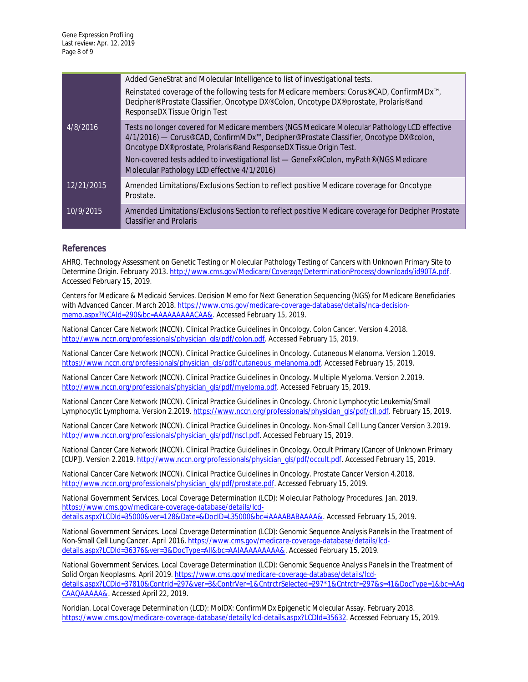|            | Added GeneStrat and Molecular Intelligence to list of investigational tests.                                                                                                                                                                                                           |
|------------|----------------------------------------------------------------------------------------------------------------------------------------------------------------------------------------------------------------------------------------------------------------------------------------|
| 4/8/2016   | Reinstated coverage of the following tests for Medicare members: Corus® CAD, ConfirmMDx <sup>™</sup> ,<br>Decipher® Prostate Classifier, Oncotype DX® Colon, Oncotype DX® prostate, Prolaris® and<br>ResponseDX Tissue Origin Test                                                     |
|            | Tests no longer covered for Medicare members (NGS Medicare Molecular Pathology LCD effective<br>4/1/2016) — Corus® CAD, ConfirmMDx™, Decipher® Prostate Classifier, Oncotype DX® colon,<br>Oncotype DX <sup>®</sup> prostate, Prolaris <sup>®</sup> and ResponseDX Tissue Origin Test. |
|            | Non-covered tests added to investigational list — GeneFx® Colon, myPath® (NGS Medicare<br>Molecular Pathology LCD effective 4/1/2016)                                                                                                                                                  |
| 12/21/2015 | Amended Limitations/Exclusions Section to reflect positive Medicare coverage for Oncotype<br>Prostate.                                                                                                                                                                                 |
| 10/9/2015  | Amended Limitations/Exclusions Section to reflect positive Medicare coverage for Decipher Prostate<br><b>Classifier and Prolaris</b>                                                                                                                                                   |

### **References**

AHRQ. Technology Assessment on Genetic Testing or Molecular Pathology Testing of Cancers with Unknown Primary Site to Determine Origin. February 2013[. http://www.cms.gov/Medicare/Coverage/DeterminationProcess/downloads/id90TA.pdf.](http://www.cms.gov/Medicare/Coverage/DeterminationProcess/downloads/id90TA.pdf) Accessed February 15, 2019.

Centers for Medicare & Medicaid Services. Decision Memo for Next Generation Sequencing (NGS) for Medicare Beneficiaries with Advanced Cancer. March 2018[. https://www.cms.gov/medicare-coverage-database/details/nca-decision](https://www.cms.gov/medicare-coverage-database/details/nca-decision-memo.aspx?NCAId=290&bc=AAAAAAAAACAA&)[memo.aspx?NCAId=290&bc=AAAAAAAAACAA&.](https://www.cms.gov/medicare-coverage-database/details/nca-decision-memo.aspx?NCAId=290&bc=AAAAAAAAACAA&) Accessed February 15, 2019.

National Cancer Care Network (NCCN). Clinical Practice Guidelines in Oncology. Colon Cancer. Version 4.2018. [http://www.nccn.org/professionals/physician\\_gls/pdf/colon.pdf.](http://www.nccn.org/professionals/physician_gls/pdf/colon.pdf) Accessed February 15, 2019.

National Cancer Care Network (NCCN). Clinical Practice Guidelines in Oncology. Cutaneous Melanoma. Version 1.2019. [https://www.nccn.org/professionals/physician\\_gls/pdf/cutaneous\\_melanoma.pdf.](https://www.nccn.org/professionals/physician_gls/pdf/cutaneous_melanoma.pdf) Accessed February 15, 2019.

National Cancer Care Network (NCCN). Clinical Practice Guidelines in Oncology. Multiple Myeloma. Version 2.2019. [http://www.nccn.org/professionals/physician\\_gls/pdf/myeloma.pdf.](http://www.nccn.org/professionals/physician_gls/pdf/myeloma.pdf) Accessed February 15, 2019.

National Cancer Care Network (NCCN). Clinical Practice Guidelines in Oncology. Chronic Lymphocytic Leukemia/Small Lymphocytic Lymphoma. Version 2.2019[. https://www.nccn.org/professionals/physician\\_gls/pdf/cll.pdf.](https://www.nccn.org/professionals/physician_gls/pdf/cll.pdf) February 15, 2019.

National Cancer Care Network (NCCN). Clinical Practice Guidelines in Oncology. Non-Small Cell Lung Cancer Version 3.2019. [http://www.nccn.org/professionals/physician\\_gls/pdf/nscl.pdf.](http://www.nccn.org/professionals/physician_gls/pdf/nscl.pdf) Accessed February 15, 2019.

National Cancer Care Network (NCCN). Clinical Practice Guidelines in Oncology. Occult Primary (Cancer of Unknown Primary [CUP]). Version 2.2019. [http://www.nccn.org/professionals/physician\\_gls/pdf/occult.pdf.](http://www.nccn.org/professionals/physician_gls/pdf/occult.pdf) Accessed February 15, 2019.

National Cancer Care Network (NCCN). Clinical Practice Guidelines in Oncology. Prostate Cancer Version 4.2018. [http://www.nccn.org/professionals/physician\\_gls/pdf/prostate.pdf.](http://www.nccn.org/professionals/physician_gls/pdf/prostate.pdf) Accessed February 15, 2019.

National Government Services. Local Coverage Determination (LCD): Molecular Pathology Procedures. Jan. 2019. [https://www.cms.gov/medicare-coverage-database/details/lcd](https://www.cms.gov/medicare-coverage-database/details/lcd-details.aspx?LCDId=35000&ver=128&Date=&DocID=L35000&bc=iAAAABABAAAA&)[details.aspx?LCDId=35000&ver=128&Date=&DocID=L35000&bc=iAAAABABAAAA&.](https://www.cms.gov/medicare-coverage-database/details/lcd-details.aspx?LCDId=35000&ver=128&Date=&DocID=L35000&bc=iAAAABABAAAA&) Accessed February 15, 2019.

National Government Services. Local Coverage Determination (LCD): Genomic Sequence Analysis Panels in the Treatment of Non-Small Cell Lung Cancer. April 2016[. https://www.cms.gov/medicare-coverage-database/details/lcd](https://www.cms.gov/medicare-coverage-database/details/lcd-details.aspx?LCDId=36376&ver=3&DocType=All&bc=AAIAAAAAAAAA&)[details.aspx?LCDId=36376&ver=3&DocType=All&bc=AAIAAAAAAAAA&.](https://www.cms.gov/medicare-coverage-database/details/lcd-details.aspx?LCDId=36376&ver=3&DocType=All&bc=AAIAAAAAAAAA&) Accessed February 15, 2019.

National Government Services. Local Coverage Determination (LCD): Genomic Sequence Analysis Panels in the Treatment of Solid Organ Neoplasms. April 2019[. https://www.cms.gov/medicare-coverage-database/details/lcd](https://www.cms.gov/medicare-coverage-database/details/lcd-details.aspx?LCDId=37810&ContrId=297&ver=3&ContrVer=1&CntrctrSelected=297*1&Cntrctr=297&s=41&DocType=1&bc=AAgCAAQAAAAA&)[details.aspx?LCDId=37810&ContrId=297&ver=3&ContrVer=1&CntrctrSelected=297\\*1&Cntrctr=297&s=41&DocType=1&bc=AAg](https://www.cms.gov/medicare-coverage-database/details/lcd-details.aspx?LCDId=37810&ContrId=297&ver=3&ContrVer=1&CntrctrSelected=297*1&Cntrctr=297&s=41&DocType=1&bc=AAgCAAQAAAAA&) [CAAQAAAAA&.](https://www.cms.gov/medicare-coverage-database/details/lcd-details.aspx?LCDId=37810&ContrId=297&ver=3&ContrVer=1&CntrctrSelected=297*1&Cntrctr=297&s=41&DocType=1&bc=AAgCAAQAAAAA&) Accessed April 22, 2019.

Noridian. Local Coverage Determination (LCD): MolDX: ConfirmMDx Epigenetic Molecular Assay. February 2018. [https://www.cms.gov/medicare-coverage-database/details/lcd-details.aspx?LCDId=35632.](https://www.cms.gov/medicare-coverage-database/details/lcd-details.aspx?LCDId=35632) Accessed February 15, 2019.